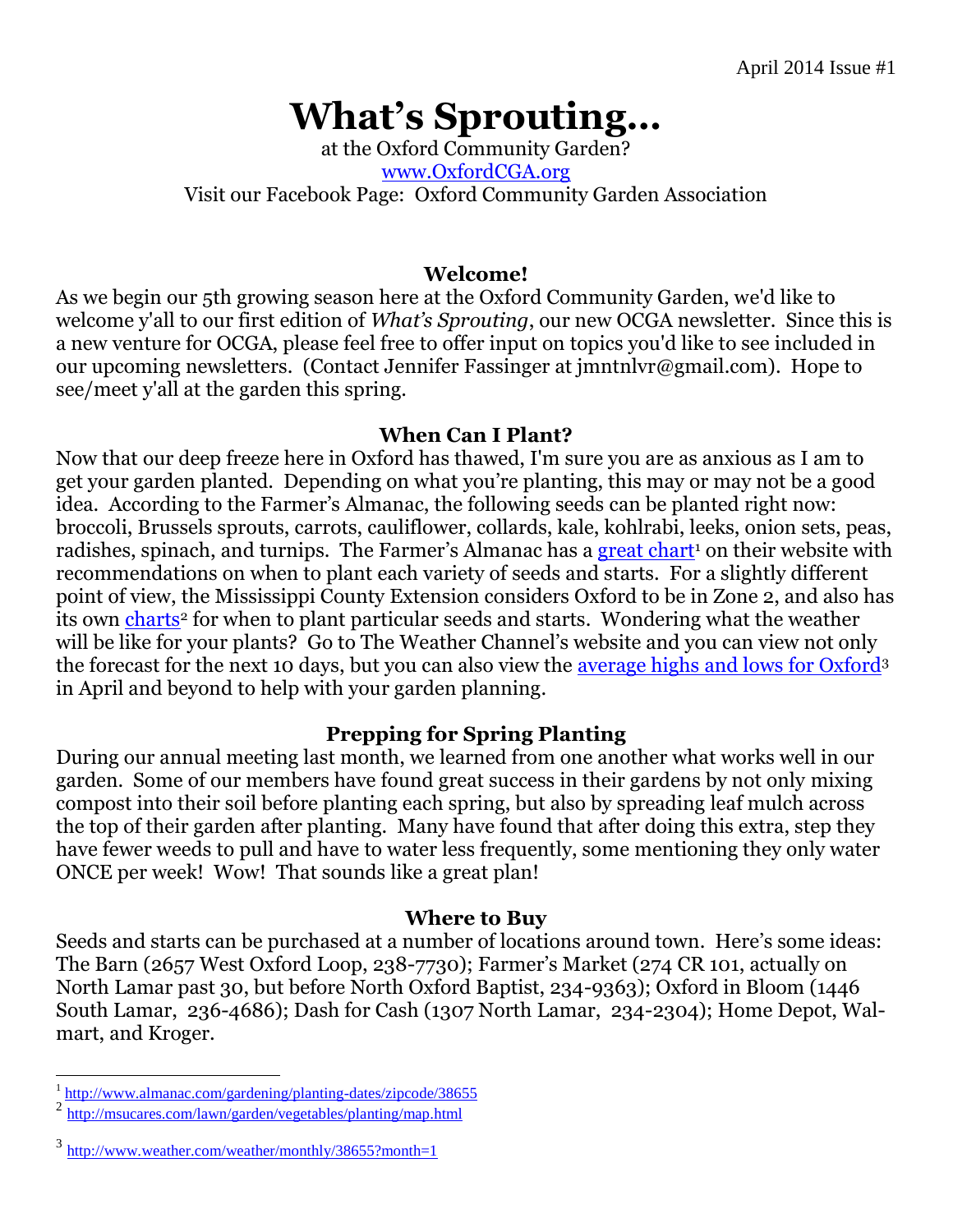# **What's Sprouting…**

at the Oxford Community Garden? [www.OxfordCGA.org](http://www.oxfordcga.org/) Visit our Facebook Page: Oxford Community Garden Association

#### **Welcome!**

As we begin our 5th growing season here at the Oxford Community Garden, we'd like to welcome y'all to our first edition of *What's Sprouting*, our new OCGA newsletter. Since this is a new venture for OCGA, please feel free to offer input on topics you'd like to see included in our upcoming newsletters. (Contact Jennifer Fassinger at jmntnlvr@gmail.com). Hope to see/meet y'all at the garden this spring.

## **When Can I Plant?**

Now that our deep freeze here in Oxford has thawed, I'm sure you are as anxious as I am to get your garden planted. Depending on what you're planting, this may or may not be a good idea. According to the Farmer's Almanac, the following seeds can be planted right now: broccoli, Brussels sprouts, carrots, cauliflower, collards, kale, kohlrabi, leeks, onion sets, peas, radishes, spinach, and turnips. The Farmer's Almanac has a [great chart](http://www.almanac.com/gardening/planting-dates/zipcode/38655)<sup>1</sup> on their website with recommendations on when to plant each variety of seeds and starts. For a slightly different point of view, the Mississippi County Extension considers Oxford to be in Zone 2, and also has its own [charts](http://msucares.com/lawn/garden/vegetables/planting/map.html)<sup>2</sup> for when to plant particular seeds and starts. Wondering what the weather will be like for your plants? Go to The Weather Channel's website and you can view not only the forecast for the next 10 days, but you can also view the [average highs and lows for Oxford](http://www.weather.com/weather/monthly/38655?month=1)<sup>3</sup> in April and beyond to help with your garden planning.

# **Prepping for Spring Planting**

During our annual meeting last month, we learned from one another what works well in our garden. Some of our members have found great success in their gardens by not only mixing compost into their soil before planting each spring, but also by spreading leaf mulch across the top of their garden after planting. Many have found that after doing this extra, step they have fewer weeds to pull and have to water less frequently, some mentioning they only water ONCE per week! Wow! That sounds like a great plan!

## **Where to Buy**

Seeds and starts can be purchased at a number of locations around town. Here's some ideas: The Barn (2657 West Oxford Loop, 238-7730); Farmer's Market (274 CR 101, actually on North Lamar past 30, but before North Oxford Baptist, 234-9363); Oxford in Bloom (1446 South Lamar, 236-4686); Dash for Cash (1307 North Lamar, 234-2304); Home Depot, Walmart, and Kroger.

<sup>&</sup>lt;sup>1</sup> <http://www.almanac.com/gardening/planting-dates/zipcode/38655>

<sup>2</sup> <http://msucares.com/lawn/garden/vegetables/planting/map.html>

<sup>3</sup> <http://www.weather.com/weather/monthly/38655?month=1>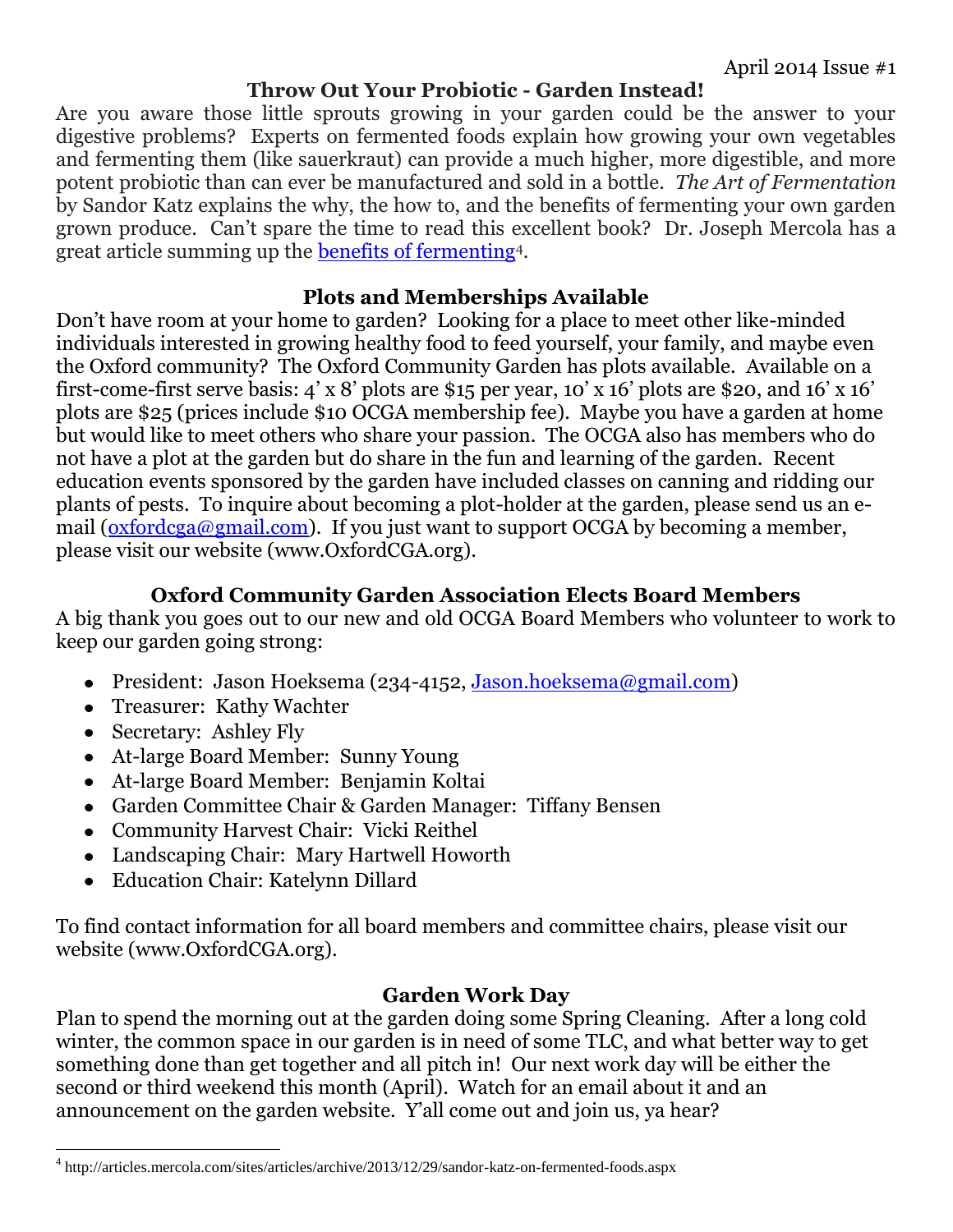## **Throw Out Your Probiotic - Garden Instead!**

Are you aware those little sprouts growing in your garden could be the answer to your digestive problems? Experts on fermented foods explain how growing your own vegetables and fermenting them (like sauerkraut) can provide a much higher, more digestible, and more potent probiotic than can ever be manufactured and sold in a bottle. *The Art of Fermentation* by Sandor Katz explains the why, the how to, and the benefits of fermenting your own garden grown produce. Can't spare the time to read this excellent book? Dr. Joseph Mercola has a great article summing up the [benefits of fermenting](http://articles.mercola.com/sites/articles/archive/2013/12/29/sandor-katz-on-fermented-foods.aspx)4.

## **Plots and Memberships Available**

Don't have room at your home to garden? Looking for a place to meet other like-minded individuals interested in growing healthy food to feed yourself, your family, and maybe even the Oxford community? The Oxford Community Garden has plots available. Available on a first-come-first serve basis: 4' x 8' plots are \$15 per year, 10' x 16' plots are \$20, and 16' x 16' plots are \$25 (prices include \$10 OCGA membership fee). Maybe you have a garden at home but would like to meet others who share your passion. The OCGA also has members who do not have a plot at the garden but do share in the fun and learning of the garden. Recent education events sponsored by the garden have included classes on canning and ridding our plants of pests. To inquire about becoming a plot-holder at the garden, please send us an email [\(oxfordcga@gmail.com\)](mailto:oxfordcga@gmail.com). If you just want to support OCGA by becoming a member, please visit our website (www.OxfordCGA.org).

# **Oxford Community Garden Association Elects Board Members**

A big thank you goes out to our new and old OCGA Board Members who volunteer to work to keep our garden going strong:

- President: Jason Hoeksema (234-4152, [Jason.hoeksema@gmail.com\)](mailto:Jason.hoeksema@gmail.com)
- Treasurer: Kathy Wachter
- Secretary: Ashley Fly

 $\overline{a}$ 

- At-large Board Member: Sunny Young
- At-large Board Member: Benjamin Koltai  $\bullet$
- Garden Committee Chair & Garden Manager: Tiffany Bensen
- Community Harvest Chair: Vicki Reithel
- Landscaping Chair: Mary Hartwell Howorth
- Education Chair: Katelynn Dillard  $\bullet$

To find contact information for all board members and committee chairs, please visit our website (www.OxfordCGA.org).

# **Garden Work Day**

Plan to spend the morning out at the garden doing some Spring Cleaning. After a long cold winter, the common space in our garden is in need of some TLC, and what better way to get something done than get together and all pitch in! Our next work day will be either the second or third weekend this month (April). Watch for an email about it and an announcement on the garden website. Y'all come out and join us, ya hear?

<sup>&</sup>lt;sup>4</sup> http://articles.mercola.com/sites/articles/archive/2013/12/29/sandor-katz-on-fermented-foods.aspx